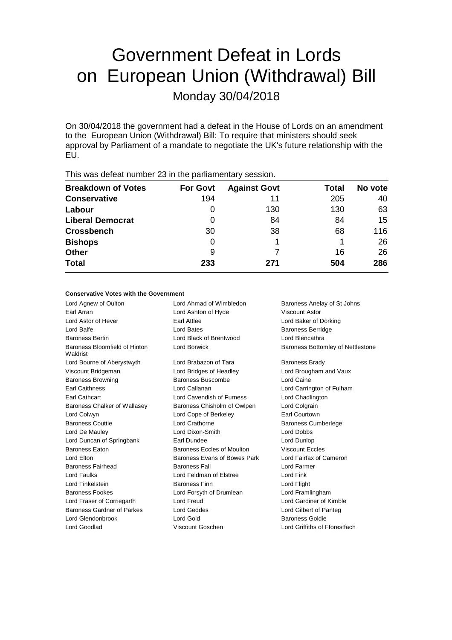# Government Defeat in Lords on European Union (Withdrawal) Bill

Monday 30/04/2018

On 30/04/2018 the government had a defeat in the House of Lords on an amendment to the European Union (Withdrawal) Bill: To require that ministers should seek approval by Parliament of a mandate to negotiate the UK's future relationship with the EU.

| <b>Breakdown of Votes</b> | <b>For Govt</b> | <b>Against Govt</b> | Total | No vote |
|---------------------------|-----------------|---------------------|-------|---------|
| <b>Conservative</b>       | 194             | 11                  | 205   | 40      |
| Labour                    | 0               | 130                 | 130   | 63      |
| <b>Liberal Democrat</b>   | 0               | 84                  | 84    | 15      |
| <b>Crossbench</b>         | 30              | 38                  | 68    | 116     |
| <b>Bishops</b>            | 0               |                     |       | 26      |
| <b>Other</b>              | 9               |                     | 16    | 26      |
| <b>Total</b>              | 233             | 271                 | 504   | 286     |
|                           |                 |                     |       |         |

This was defeat number 23 in the parliamentary session.

## **Conservative Votes with the Government**

Lord Agnew of Oulton Lord Ahmad of Wimbledon Baroness Anelay of St Johns Earl Arran Lord Ashton of Hyde Viscount Astor Lord Astor of Hever Earl Attlee Lord Baker of Dorking Lord Balfe **Lord Bates Lord Bates Contract Baroness Berridge** Baroness Bertin Lord Black of Brentwood Lord Blencathra Baroness Bloomfield of Hinton Waldrist Lord Bourne of Aberystwyth Lord Brabazon of Tara Baroness Brady Viscount Bridgeman Lord Bridges of Headley Lord Brougham and Vaux Baroness Browning Baroness Buscombe Lord Caine Earl Caithness Lord Callanan Lord Carrington of Fulham Earl Cathcart **Lord Cavendish of Furness** Lord Chadlington Baroness Chalker of Wallasey Baroness Chisholm of Owlpen Lord Colgrain Lord Colwyn **Lord Cope of Berkeley** Earl Courtown Baroness Couttie Lord Crathorne Baroness Cumberlege Lord De Mauley Lord Dixon-Smith Lord Dobbs Lord Duncan of Springbank **Earl Dundee Earl Dundee** Lord Dunlop Baroness Eaton **Baroness Eccles of Moulton** Viscount Eccles Lord Elton **Baroness Evans of Bowes Park** Lord Fairfax of Cameron Baroness Fairhead Baroness Fall **Baroness Fall** Lord Farmer Lord Faulks Lord Feldman of Elstree Lord Fink Lord Finkelstein Baroness Finn Lord Flight Baroness Fookes Lord Forsyth of Drumlean Lord Framlingham Lord Fraser of Corriegarth Lord Freud Lord Gardiner of Kimble Baroness Gardner of Parkes Lord Geddes Lord Gilbert of Panteg Lord Glendonbrook Lord Gold Baroness Goldie Lord Goodlad Viscount Goschen Lord Griffiths of Fforestfach

Lord Borwick **Baroness Bottomley of Nettlestone**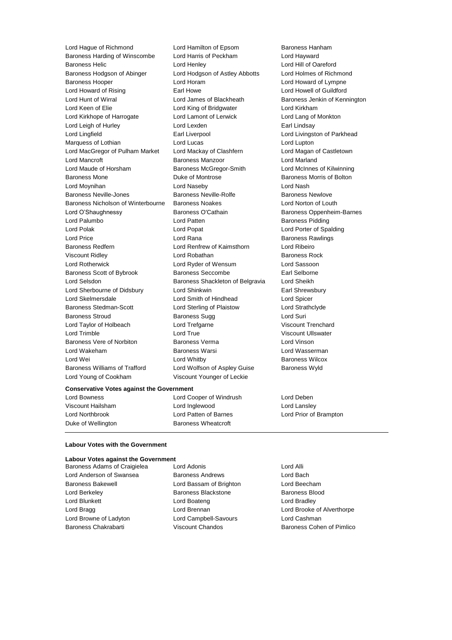Lord Hague of Richmond Lord Hamilton of Epsom Baroness Hanham Baroness Harding of Winscombe Lord Harris of Peckham Lord Hayward Baroness Helic Lord Henley Lord Hill of Oareford Baroness Hodgson of Abinger Lord Hodgson of Astley Abbotts Lord Holmes of Richmond Baroness Hooper Lord Horam Lord Howard of Lympne Lord Howard of Rising **Earl Howe** Earl Howe **Lord Howell of Guildford** Lord Hunt of Wirral **Lord James of Blackheath** Baroness Jenkin of Kennington Lord Keen of Elie **Lord King of Bridgwater** Lord Kirkham Lord Kirkhope of Harrogate Lord Lamont of Lerwick Lord Lang of Monkton Lord Leigh of Hurley **Lord Lexden** Earl Lindsay Lord Lingfield **Earl Liverpool** Earl Liverpool **Lord Livingston of Parkhead** Marquess of Lothian **Lord Lucas** Lord Lucas Lord Lupton Lord MacGregor of Pulham Market Lord Mackay of Clashfern Lord Magan of Castletown Lord Mancroft **Baroness Manzoor** Lord Marland Lord Maude of Horsham Baroness McGregor-Smith Lord McInnes of Kilwinning Baroness Mone **Baroness Mone Duke of Montrose Baroness Morris of Bolton** Lord Moynihan Lord Naseby Lord Nash Baroness Neville-Jones **Baroness Neville-Rolfe Baroness Newlove** Baroness Newlove Baroness Nicholson of Winterbourne Baroness Noakes Lord Norton of Louth Lord O'Shaughnessy **Baroness O'Cathain** Baroness Oppenheim-Barnes Lord Palumbo **Lord Patten Communist Lord Patten Baroness Pidding** Lord Polak Lord Popat Lord Porter of Spalding Lord Price **Lord Rana Constanting Lord Rana** Baroness Rawlings Baroness Redfern Lord Renfrew of Kaimsthorn Lord Ribeiro Viscount Ridley **Communist Communist Lord Robathan** Baroness Rock Lord Rotherwick Lord Ryder of Wensum Lord Sassoon Baroness Scott of Bybrook Baroness Seccombe Earl Selborne Lord Selsdon Baroness Shackleton of Belgravia Lord Sheikh Lord Sherbourne of Didsbury Lord Shinkwin **Earl Shinkwin** Earl Shrewsbury Lord Skelmersdale Lord Smith of Hindhead Lord Spicer Baroness Stedman-Scott Lord Sterling of Plaistow Lord Strathclyde Baroness Stroud **Baroness Sugg Community** Baroness Sugg **Lord Suri** Lord Taylor of Holbeach Lord Trefgarne Viscount Trenchard Lord Trimble Lord True Viscount Ullswater Baroness Vere of Norbiton Baroness Verma Lord Vinson Lord Wakeham Baroness Warsi Lord Wasserman Lord Wei **Lord Whitby Conduct Lord Whitby Baroness Wilcox** Baroness Williams of Trafford Lord Wolfson of Aspley Guise Baroness Wyld Lord Young of Cookham Viscount Younger of Leckie

## **Conservative Votes against the Government**

Lord Bowness Lord Cooper of Windrush Lord Deben Viscount Hailsham Lord Inglewood Lord Lansley Lord Northbrook Lord Patten of Barnes Lord Prior of Brampton Duke of Wellington Baroness Wheatcroft

# **Labour Votes with the Government**

#### **Labour Votes against the Government**

Lord Anderson of Swansea Baroness Andrews Lord Bach Baroness Bakewell Lord Bassam of Brighton Lord Beecham Lord Berkeley Baroness Blackstone Baroness Blood Lord Blunkett Lord Boateng Lord Bradley Lord Browne of Ladyton Lord Campbell-Savours Lord Cashman

Baroness Adams of Craigielea Lord Adonis Lord Alli

Lord Bragg **Lord Brennan** Lord Brennan Lord Brooke of Alverthorpe Baroness Chakrabarti **Viscount Chandos** Baroness Cohen of Pimlico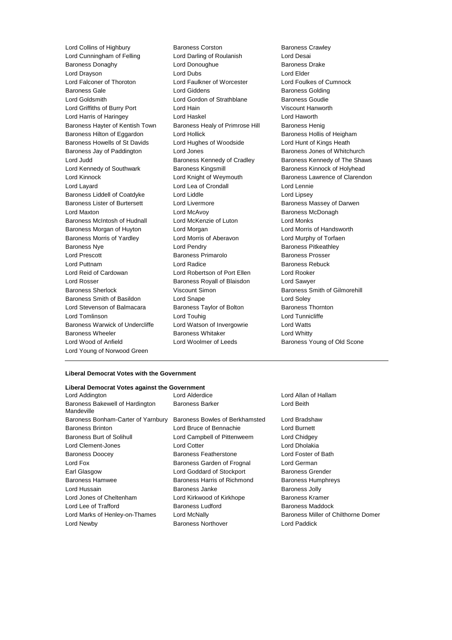Lord Cunningham of Felling Lord Darling of Roulanish Lord Desai Baroness Donaghy **Lord Donoughue** Baroness Drake Baroness Drake Lord Drayson **Lord Dubs** Lord Dubs **Lord Elder** Lord Falconer of Thoroton Lord Faulkner of Worcester Lord Foulkes of Cumnock Baroness Gale **Baroness Golding** Lord Giddens **Baroness Golding** Lord Goldsmith **Lord Gordon of Strathblane** Baroness Goudie Lord Griffiths of Burry Port Lord Hain Viscount Hanworth Lord Harris of Haringey Lord Haskel Lord Haworth Baroness Hayter of Kentish Town Baroness Healy of Primrose Hill Baroness Henig Baroness Hilton of Eggardon Lord Hollick **Baroness Hollis of Heigham** Baroness Howells of St Davids Lord Hughes of Woodside Lord Hunt of Kings Heath Baroness Jay of Paddington Lord Jones Baroness Jones of Whitchurch Lord Judd **Baroness Kennedy of Cradley** Baroness Kennedy of The Shaws Lord Kennedy of Southwark Baroness Kingsmill Baroness Kinnock of Holyhead Lord Kinnock **Lord Knight of Weymouth** Baroness Lawrence of Clarendon Lord Layard Lord Lea of Crondall Lord Lennie Baroness Liddell of Coatdyke Lord Liddle Lord Lipsey Baroness Lister of Burtersett Lord Livermore **Baroness Massey of Darwen** Lord Maxton **Lord McAvoy Communist Communist Communist Communist Communist Communist Communist Communist Communist Communist Communist Communist Communist Communist Communist Communist Communist Communist Communist Commu** Baroness McIntosh of Hudnall Lord McKenzie of Luton Lord Monks Baroness Morgan of Huyton Lord Morgan Lord Morris of Handsworth Baroness Morris of Yardley Lord Morris of Aberavon Lord Murphy of Torfaen Baroness Nye **Lord Pendry Community** Baroness Pitkeathley Lord Prescott Baroness Primarolo Baroness Prosser Lord Puttnam **Lord Radice Baroness Rebuck** Lord Radice **Baroness Rebuck** Lord Reid of Cardowan Lord Robertson of Port Ellen Lord Rooker Lord Rosser Baroness Royall of Blaisdon Lord Sawyer Baroness Sherlock **Viscount Simon** Baroness Smith of Gilmorehill Baroness Smith of Basildon Lord Snape Lord Soley Lord Stevenson of Balmacara Baroness Taylor of Bolton Baroness Thornton Lord Tomlinson Lord Touhig Lord Tunnicliffe Baroness Warwick of Undercliffe Lord Watson of Invergowrie Lord Watts Baroness Wheeler **Baroness Whitaker** Lord Whitty Lord Wood of Anfield **Lord Woolmer of Leeds** Baroness Young of Old Scone Lord Young of Norwood Green

Lord Collins of Highbury Baroness Corston Baroness Crawley

## **Liberal Democrat Votes with the Government**

| Liberal Democrat Votes against the Government |                                     |  |
|-----------------------------------------------|-------------------------------------|--|
| Lord Alderdice                                | Lord Allan of Hallam                |  |
| <b>Baroness Barker</b>                        | Lord Beith                          |  |
| Baroness Bowles of Berkhamsted                | Lord Bradshaw                       |  |
| Lord Bruce of Bennachie                       | Lord Burnett                        |  |
| Lord Campbell of Pittenweem                   | Lord Chidgey                        |  |
| <b>Lord Cotter</b>                            | Lord Dholakia                       |  |
| Baroness Featherstone                         | Lord Foster of Bath                 |  |
| Baroness Garden of Frognal                    | Lord German                         |  |
| Lord Goddard of Stockport                     | Baroness Grender                    |  |
| Baroness Harris of Richmond                   | <b>Baroness Humphreys</b>           |  |
| Baroness Janke                                | <b>Baroness Jolly</b>               |  |
| Lord Kirkwood of Kirkhope                     | Baroness Kramer                     |  |
| <b>Baroness Ludford</b>                       | <b>Baroness Maddock</b>             |  |
| Lord McNally                                  | Baroness Miller of Chilthorne Domer |  |
| <b>Baroness Northover</b>                     | Lord Paddick                        |  |
|                                               |                                     |  |